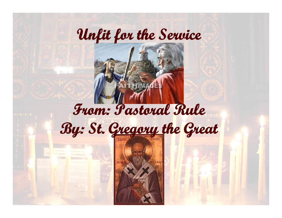

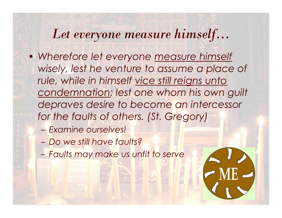#### *Let everyone measure himself…*

- *Wherefore let everyone measure himself wisely, lest he venture to assume a place of rule, while in himself vice still reigns unto condemnation; lest one whom his own guilt depraves desire to become an intercessor for the faults of others. (St. Gregory)*
	- *Examine ourselves!*
	- *Do we still have faults?*
	- *Faults may make us unfit to serve*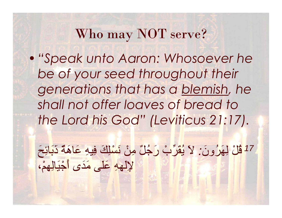#### Who may NOT serve?

•*"Speak unto Aaron: Whosoever he be of your seed throughout their generations that has a blemish, he shall not offer loaves of bread to the Lord his God" (Leviticus 21:17).* generanoris marrias<br>shall not offer loaves<br>the Lord his God'' (Le<br>ب<mark>ُ رَجُلٌ مِنْ نَسْلِكَ فِيهِ عَاهَةٌ دَبَائِحَ</mark><br>فَلَى مَدَى أَجْنَالِهِمْ،

*قُلْ لِھَرُونَ : لاَ یُقَرِّبْ رَجُلٌ مِنْ نَسْلِكَ فِیھِ عَاھَةٌ ذَبَائِحَ <sup>17</sup>*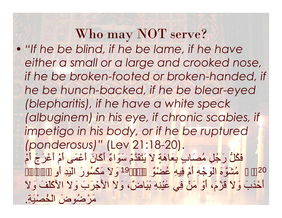Who may NOT serve? • *"If he be blind, if he be lame, if he have either a small or a large and crooked nose, if he be broken-footed or broken-handed, if he be hunch-backed, if he be blear-eyed (blepharitis), if he have a white speck (albuginem) in his eye, if chronic scabies, if impetigo in his body, or if he be ruptured (ponderosus)"* (Lev 21:18-20). مُشَوَّمَ الْوَجْهِ أَمْ فِيهِ عُضْوٌ مَنْ 19 وَلاَ مَكْسُونَ الَّذِي أَوِ rie be nonch-backea, if he be biear-eyea<br>(blepharitis), if he have a white speck<br>(albuginem) in his eye, if chronic scabies, if<br>impetigo in his body, or if he be ruptured<br>(ponderosus)" (Lev 21:18-20).<br>فَكُلُّ رَجُلٍ مُصَا 20prepridinis), if he have a write speck<br>(albuginem) in his eye, if chronic scabies, if<br>impetigo in his body, or if he be ruptured<br>(ponderosus)" (Lev 21:18-20).<br>فَكُلَّ رَجُلٍ مُصَابٍ بِعَاهَةٍ لاَ يَتَقَدَّمْ سَوَّاءٌ أَكَ and this body, or if he be ruptured<br>impetigo in his body, or if he be ruptured<br>(ponderosus)" (Lev 21:18-20).<br>فَكُلُّ رَجُّلٍ مُصَابٍ بِعَاهَةٍ لاَ يَتَقَدَّمْ سَوَاءٌ أَكَانَ أَعْمَى أَمْ أَعْرَجَ أَمْ<br>مُشْتَرَّ وَ لاَ ال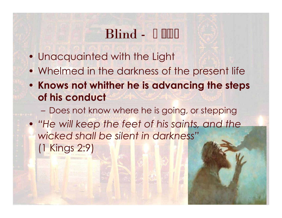## Blind -

- Unacquainted with the Light
- Whelmed in the darkness of the present life
- **Knows not whither he is advancing the steps of his conduct**
	- Does not know where he is going, or stepping
- *"He will keep the feet of his saints, and the wicked shall be silent in darkness"* (1 Kings 2:9)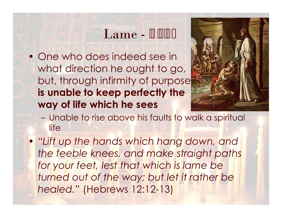#### Lame -

 • One who does indeed see in what direction he ought to go, but, through infirmity of purpose **is unable to keep perfectly the way of life which he sees**



- Unable to rise above his faults to walk a spiritual life
- *"Lift up the hands which hang down, and the feeble knees, and make straight paths for your feet, lest that which is lame be turned out of the way; but let it rather be healed."* (Hebrews 12:12-13)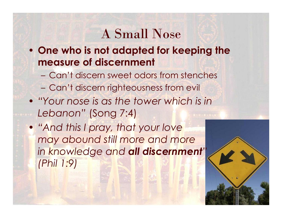#### A Small Nose

- **One who is not adapted for keeping the measure of discernment**
	- Can't discern sweet odors from stenches
	- Can't discern righteousness from evil
- *"Your nose is as the tower which is in Lebanon"* (Song 7:4)
- *"And this I pray, that your love may abound still more and more in knowledge and all discernment" (Phil 1:9)*

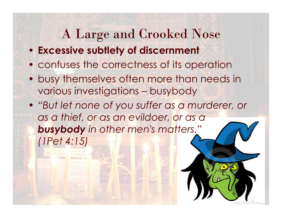#### A Large and Crooked Nose

- **Excessive subtlety of discernment**
- confuses the correctness of its operation
- busy themselves often more than needs in various investigations – busybody
- *"But let none of you suffer as a murderer, or as a thief, or as an evildoer, or as a busybody in other men's matters." (1Pet 4:15)*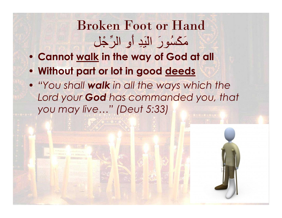# Broken Foot or Hand oken Foot or Hand<br>مَكْسُورَ الْیَدِ أَوِ الرِّجْل<br><u>k</u> in the way of God at all<br>I or lot in good <u>deeds</u>

- **Cannot walk in the way of God at all**
- **Without part or lot in good deeds**
- *"You shall walk in all the ways which the Lord your God has commanded you, that you may live…" (Deut 5:33)*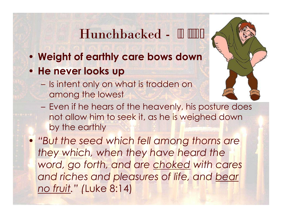- 
- **He never looks up**
	- Is intent only on what is trodden on among the lowest



- Even if he hears of the heavenly, his posture does not allow him to seek it, as he is weighed down by the earthly
- *"But the seed which fell among thorns are they which, when they have heard the word, go forth, and are choked with cares and riches and pleasures of life, and bear no fruit." (*Luke 8:14)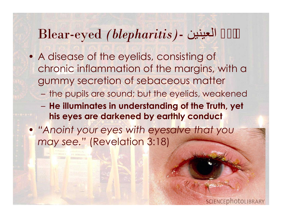#### Blear-eyed *(blepharitis)-* العینین دامع

- A disease of the eyelids, consisting of chronic inflammation of the margins, with a gummy secretion of sebaceous matter
	- the pupils are sound; but the eyelids, weakened
	- **He illuminates in understanding of the Truth, yet his eyes are darkened by earthly conduct**
- *"Anoint your eyes with eyesalve that you may see."* (Revelation 3:18)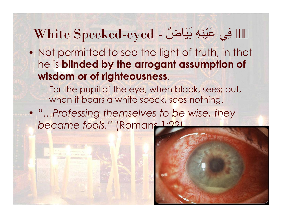## White Specked-eyed - ٌاضَیَب ِھِنْیَع يِف ْنَم

- Not permitted to see the light of truth, in that he is **blinded by the arrogant assumption of wisdom or of righteousness**.
	- For the pupil of the eye, when black, sees; but, when it bears a white speck, sees nothing.
- *"…Professing themselves to be wise, they became fools."* (Romans 1:22)

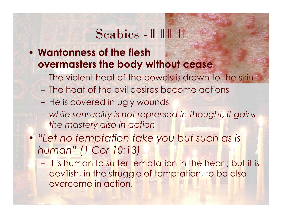- Scabies -<br>**CONTERN Scabies The Wantonness of the flesh**<br>**CONTERN THE SCAPE OF SCAPE AND FLAGGE ASSESSMENT PROPERTY overmasters the body without cease**
	- The violent heat of the bowels is drawn to the skin
	- The heat of the evil desires become actions
	- He is covered in ugly wounds
	- *while sensuality is not repressed in thought, it gains the mastery also in action*
- *"Let no temptation take you but such as is human" (1 Cor 10:13)*
	- It is human to suffer temptation in the heart; but it is devilish, in the struggle of temptation, to be also overcome in action.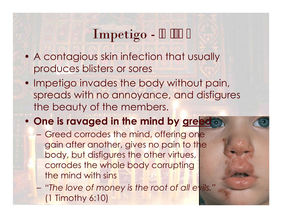#### Impetigo -

- A contagious skin infection that usually produces blisters or sores
- Impetigo invades the body without pain, spreads with no annoyance, and disfigures the beauty of the members.
- **One is ravaged in the mind by greed**
	- Greed corrodes the mind, offering one gain after another, gives no pain to the body, but disfigures the other virtues, corrodes the whole body corrupting the mind with sins

– *"The love of money is the root of all evils."* (1 Timothy 6:10)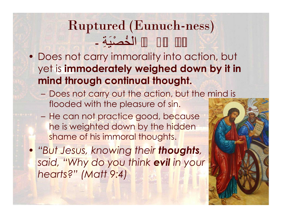## Ruptured (Eunuch-ness)

- Buptured (Eunuch-ness)<br>- الْخُصْیَةِ -<br>• Does not carry immorality into action, but<br>yet is **immoderately weighed down by it i**n yet is **immoderately weighed down by it in mind through continual thought.**
	- Does not carry out the action, but the mind is flooded with the pleasure of sin.
	- He can not practice good, because he is weighted down by the hidden shame of his immoral thoughts.
- *"But Jesus, knowing their thoughts, said, "Why do you think evil in your hearts?" (Matt 9:4)*

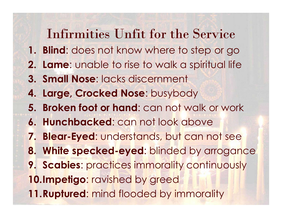#### Infirmities Unfit for the Service

- **1. Blind**: does not know where to step or go
- **2. Lame**: unable to rise to walk a spiritual life
- **3. Small Nose**: lacks discernment
- **4. Large, Crocked Nose**: busybody
- **5. Broken foot or hand**: can not walk or work
- **6. Hunchbacked**: can not look above
- **7. Blear-Eyed**: understands, but can not see
- **8. White specked-eyed**: blinded by arrogance
- **9. Scabies**: practices immorality continuously

**10.Impetigo**: ravished by greed

**11.Ruptured**: mind flooded by immorality